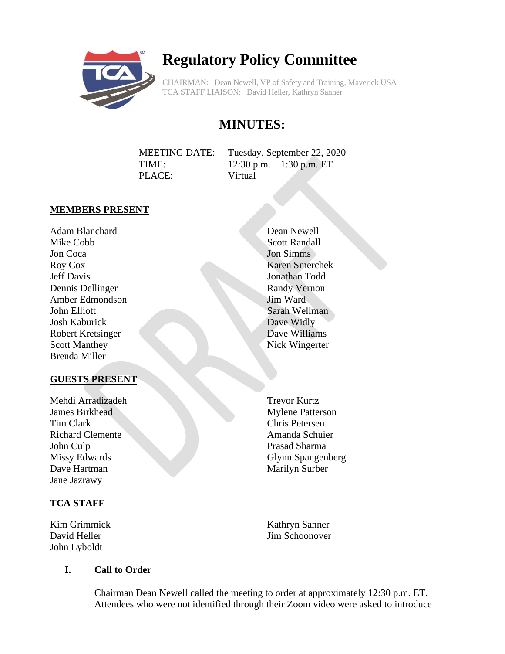

# **Regulatory Policy Committee**

CHAIRMAN: Dean Newell, VP of Safety and Training, Maverick USA TCA STAFF LIAISON: David Heller, Kathryn Sanner

# **MINUTES:**

| <b>MEETING DATE:</b> | Tuesday, September 22, 2020 |
|----------------------|-----------------------------|
| TIME:                | 12:30 p.m. $-1:30$ p.m. ET  |
| PLACE:               | Virtual                     |

#### **MEMBERS PRESENT**

Adam Blanchard Mike Cobb Jon Coca Roy Cox Jeff Davis Dennis Dellinger Amber Edmondson John Elliott Josh Kaburick Robert Kretsinger Scott Manthey Brenda Miller

#### **GUESTS PRESENT**

Mehdi Arradizadeh James Birkhead Tim Clark Richard Clemente John Culp Missy Edwards Dave Hartman Jane Jazrawy

# **TCA STAFF**

Kim Grimmick David Heller John Lyboldt

Dean Newell Scott Randall Jon Simms Karen Smerchek Jonathan Todd Randy Vernon Jim Ward Sarah Wellman Dave Widly Dave Williams Nick Wingerter

Trevor Kurtz Mylene Patterson Chris Petersen Amanda Schuier Prasad Sharma Glynn Spangenberg Marilyn Surber

Kathryn Sanner Jim Schoonover

# **I. Call to Order**

Chairman Dean Newell called the meeting to order at approximately 12:30 p.m. ET. Attendees who were not identified through their Zoom video were asked to introduce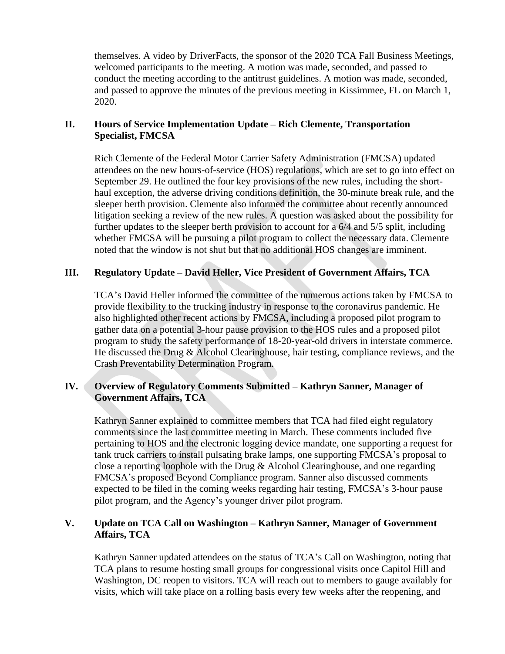themselves. A video by DriverFacts, the sponsor of the 2020 TCA Fall Business Meetings, welcomed participants to the meeting. A motion was made, seconded, and passed to conduct the meeting according to the antitrust guidelines. A motion was made, seconded, and passed to approve the minutes of the previous meeting in Kissimmee, FL on March 1, 2020.

#### **II. Hours of Service Implementation Update – Rich Clemente, Transportation Specialist, FMCSA**

Rich Clemente of the Federal Motor Carrier Safety Administration (FMCSA) updated attendees on the new hours-of-service (HOS) regulations, which are set to go into effect on September 29. He outlined the four key provisions of the new rules, including the shorthaul exception, the adverse driving conditions definition, the 30-minute break rule, and the sleeper berth provision. Clemente also informed the committee about recently announced litigation seeking a review of the new rules. A question was asked about the possibility for further updates to the sleeper berth provision to account for a 6/4 and 5/5 split, including whether FMCSA will be pursuing a pilot program to collect the necessary data. Clemente noted that the window is not shut but that no additional HOS changes are imminent.

## **III. Regulatory Update – David Heller, Vice President of Government Affairs, TCA**

TCA's David Heller informed the committee of the numerous actions taken by FMCSA to provide flexibility to the trucking industry in response to the coronavirus pandemic. He also highlighted other recent actions by FMCSA, including a proposed pilot program to gather data on a potential 3-hour pause provision to the HOS rules and a proposed pilot program to study the safety performance of 18-20-year-old drivers in interstate commerce. He discussed the Drug & Alcohol Clearinghouse, hair testing, compliance reviews, and the Crash Preventability Determination Program.

## **IV. Overview of Regulatory Comments Submitted – Kathryn Sanner, Manager of Government Affairs, TCA**

Kathryn Sanner explained to committee members that TCA had filed eight regulatory comments since the last committee meeting in March. These comments included five pertaining to HOS and the electronic logging device mandate, one supporting a request for tank truck carriers to install pulsating brake lamps, one supporting FMCSA's proposal to close a reporting loophole with the Drug & Alcohol Clearinghouse, and one regarding FMCSA's proposed Beyond Compliance program. Sanner also discussed comments expected to be filed in the coming weeks regarding hair testing, FMCSA's 3-hour pause pilot program, and the Agency's younger driver pilot program.

#### **V. Update on TCA Call on Washington – Kathryn Sanner, Manager of Government Affairs, TCA**

Kathryn Sanner updated attendees on the status of TCA's Call on Washington, noting that TCA plans to resume hosting small groups for congressional visits once Capitol Hill and Washington, DC reopen to visitors. TCA will reach out to members to gauge availably for visits, which will take place on a rolling basis every few weeks after the reopening, and